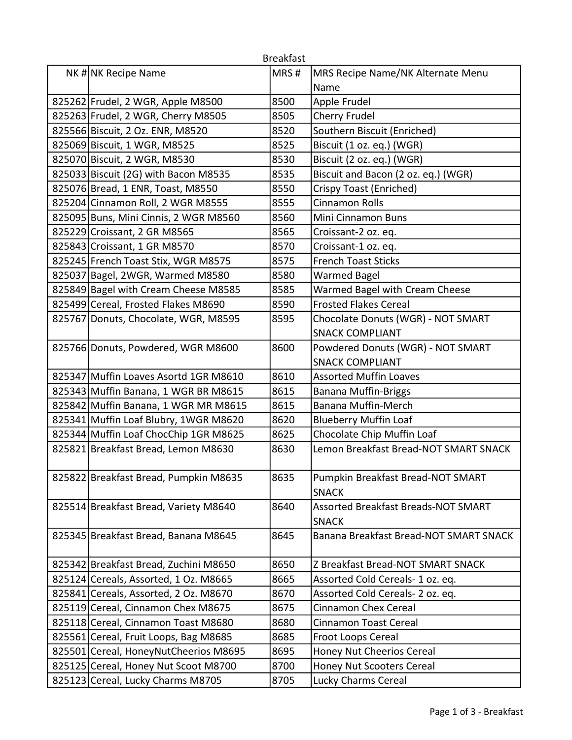|                                       | <b>Breakfast</b> |                                                     |
|---------------------------------------|------------------|-----------------------------------------------------|
| NK # NK Recipe Name                   | MRS#             | MRS Recipe Name/NK Alternate Menu                   |
|                                       |                  | Name                                                |
| 825262 Frudel, 2 WGR, Apple M8500     | 8500             | Apple Frudel                                        |
| 825263 Frudel, 2 WGR, Cherry M8505    | 8505             | Cherry Frudel                                       |
| 825566 Biscuit, 2 Oz. ENR, M8520      | 8520             | Southern Biscuit (Enriched)                         |
| 825069 Biscuit, 1 WGR, M8525          | 8525             | Biscuit (1 oz. eq.) (WGR)                           |
| 825070 Biscuit, 2 WGR, M8530          | 8530             | Biscuit (2 oz. eq.) (WGR)                           |
| 825033 Biscuit (2G) with Bacon M8535  | 8535             | Biscuit and Bacon (2 oz. eq.) (WGR)                 |
| 825076 Bread, 1 ENR, Toast, M8550     | 8550             | Crispy Toast (Enriched)                             |
| 825204 Cinnamon Roll, 2 WGR M8555     | 8555             | <b>Cinnamon Rolls</b>                               |
| 825095 Buns, Mini Cinnis, 2 WGR M8560 | 8560             | Mini Cinnamon Buns                                  |
| 825229 Croissant, 2 GR M8565          | 8565             | Croissant-2 oz. eq.                                 |
| 825843 Croissant, 1 GR M8570          | 8570             | Croissant-1 oz. eq.                                 |
| 825245 French Toast Stix, WGR M8575   | 8575             | <b>French Toast Sticks</b>                          |
| 825037 Bagel, 2WGR, Warmed M8580      | 8580             | <b>Warmed Bagel</b>                                 |
| 825849 Bagel with Cream Cheese M8585  | 8585             | Warmed Bagel with Cream Cheese                      |
| 825499 Cereal, Frosted Flakes M8690   | 8590             | <b>Frosted Flakes Cereal</b>                        |
| 825767 Donuts, Chocolate, WGR, M8595  | 8595             | Chocolate Donuts (WGR) - NOT SMART                  |
|                                       |                  | <b>SNACK COMPLIANT</b>                              |
| 825766 Donuts, Powdered, WGR M8600    | 8600             | Powdered Donuts (WGR) - NOT SMART                   |
|                                       |                  | <b>SNACK COMPLIANT</b>                              |
| 825347 Muffin Loaves Asortd 1GR M8610 | 8610             | <b>Assorted Muffin Loaves</b>                       |
| 825343 Muffin Banana, 1 WGR BR M8615  | 8615             | <b>Banana Muffin-Briggs</b>                         |
| 825842 Muffin Banana, 1 WGR MR M8615  | 8615             | <b>Banana Muffin-Merch</b>                          |
| 825341 Muffin Loaf Blubry, 1WGR M8620 | 8620             | <b>Blueberry Muffin Loaf</b>                        |
| 825344 Muffin Loaf ChocChip 1GR M8625 | 8625             | Chocolate Chip Muffin Loaf                          |
| 825821 Breakfast Bread, Lemon M8630   | 8630             | Lemon Breakfast Bread-NOT SMART SNACK               |
| 825822 Breakfast Bread, Pumpkin M8635 | 8635             | Pumpkin Breakfast Bread-NOT SMART<br><b>SNACK</b>   |
| 825514 Breakfast Bread, Variety M8640 | 8640             | Assorted Breakfast Breads-NOT SMART<br><b>SNACK</b> |
| 825345 Breakfast Bread, Banana M8645  | 8645             | Banana Breakfast Bread-NOT SMART SNACK              |
| 825342 Breakfast Bread, Zuchini M8650 | 8650             | Z Breakfast Bread-NOT SMART SNACK                   |
| 825124 Cereals, Assorted, 1 Oz. M8665 | 8665             | Assorted Cold Cereals- 1 oz. eq.                    |
| 825841 Cereals, Assorted, 2 Oz. M8670 | 8670             | Assorted Cold Cereals-2 oz. eq.                     |
| 825119 Cereal, Cinnamon Chex M8675    | 8675             | <b>Cinnamon Chex Cereal</b>                         |
| 825118 Cereal, Cinnamon Toast M8680   | 8680             | <b>Cinnamon Toast Cereal</b>                        |
| 825561 Cereal, Fruit Loops, Bag M8685 | 8685             | Froot Loops Cereal                                  |
| 825501 Cereal, HoneyNutCheerios M8695 | 8695             | Honey Nut Cheerios Cereal                           |
| 825125 Cereal, Honey Nut Scoot M8700  | 8700             | Honey Nut Scooters Cereal                           |
| 825123 Cereal, Lucky Charms M8705     | 8705             | Lucky Charms Cereal                                 |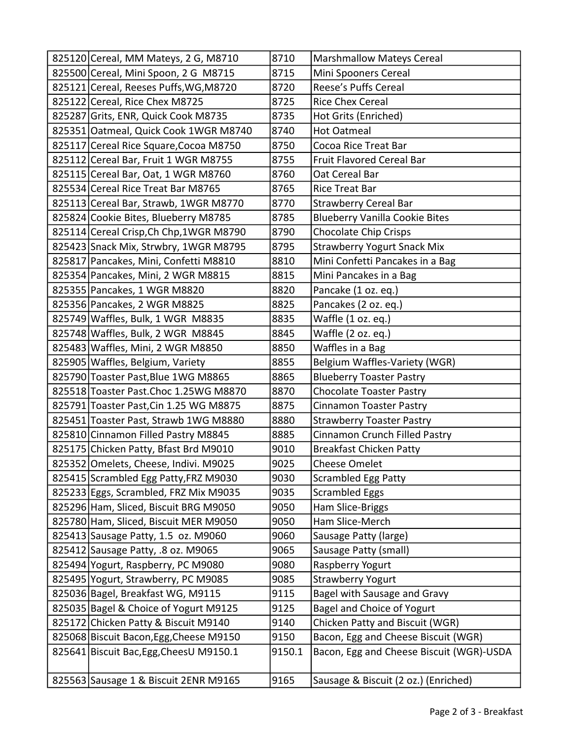| 825120 Cereal, MM Mateys, 2 G, M8710     | 8710   | <b>Marshmallow Mateys Cereal</b>         |
|------------------------------------------|--------|------------------------------------------|
| 825500 Cereal, Mini Spoon, 2 G M8715     | 8715   | Mini Spooners Cereal                     |
| 825121 Cereal, Reeses Puffs, WG, M8720   | 8720   | Reese's Puffs Cereal                     |
| 825122 Cereal, Rice Chex M8725           | 8725   | <b>Rice Chex Cereal</b>                  |
| 825287 Grits, ENR, Quick Cook M8735      | 8735   | Hot Grits (Enriched)                     |
| 825351 Oatmeal, Quick Cook 1WGR M8740    | 8740   | <b>Hot Oatmeal</b>                       |
| 825117 Cereal Rice Square, Cocoa M8750   | 8750   | Cocoa Rice Treat Bar                     |
| 825112 Cereal Bar, Fruit 1 WGR M8755     | 8755   | <b>Fruit Flavored Cereal Bar</b>         |
| 825115 Cereal Bar, Oat, 1 WGR M8760      | 8760   | Oat Cereal Bar                           |
| 825534 Cereal Rice Treat Bar M8765       | 8765   | <b>Rice Treat Bar</b>                    |
| 825113 Cereal Bar, Strawb, 1WGR M8770    | 8770   | <b>Strawberry Cereal Bar</b>             |
| 825824 Cookie Bites, Blueberry M8785     | 8785   | <b>Blueberry Vanilla Cookie Bites</b>    |
| 825114 Cereal Crisp, Ch Chp, 1WGR M8790  | 8790   | <b>Chocolate Chip Crisps</b>             |
| 825423 Snack Mix, Strwbry, 1WGR M8795    | 8795   | <b>Strawberry Yogurt Snack Mix</b>       |
| 825817 Pancakes, Mini, Confetti M8810    | 8810   | Mini Confetti Pancakes in a Bag          |
| 825354 Pancakes, Mini, 2 WGR M8815       | 8815   | Mini Pancakes in a Bag                   |
| 825355 Pancakes, 1 WGR M8820             | 8820   | Pancake (1 oz. eq.)                      |
| 825356 Pancakes, 2 WGR M8825             | 8825   | Pancakes (2 oz. eq.)                     |
| 825749 Waffles, Bulk, 1 WGR M8835        | 8835   | Waffle (1 oz. eq.)                       |
| 825748 Waffles, Bulk, 2 WGR M8845        | 8845   | Waffle (2 oz. eq.)                       |
| 825483 Waffles, Mini, 2 WGR M8850        | 8850   | Waffles in a Bag                         |
| 825905 Waffles, Belgium, Variety         | 8855   | Belgium Waffles-Variety (WGR)            |
| 825790 Toaster Past, Blue 1WG M8865      | 8865   | <b>Blueberry Toaster Pastry</b>          |
| 825518 Toaster Past. Choc 1.25WG M8870   | 8870   | <b>Chocolate Toaster Pastry</b>          |
| 825791 Toaster Past, Cin 1.25 WG M8875   | 8875   | <b>Cinnamon Toaster Pastry</b>           |
| 825451 Toaster Past, Strawb 1WG M8880    | 8880   | <b>Strawberry Toaster Pastry</b>         |
| 825810 Cinnamon Filled Pastry M8845      | 8885   | Cinnamon Crunch Filled Pastry            |
| 825175 Chicken Patty, Bfast Brd M9010    | 9010   | <b>Breakfast Chicken Patty</b>           |
| 825352 Omelets, Cheese, Indivi. M9025    | 9025   | <b>Cheese Omelet</b>                     |
| 825415 Scrambled Egg Patty, FRZ M9030    | 9030   | <b>Scrambled Egg Patty</b>               |
| 825233 Eggs, Scrambled, FRZ Mix M9035    | 9035   | <b>Scrambled Eggs</b>                    |
| 825296 Ham, Sliced, Biscuit BRG M9050    | 9050   | Ham Slice-Briggs                         |
| 825780 Ham, Sliced, Biscuit MER M9050    | 9050   | Ham Slice-Merch                          |
| 825413 Sausage Patty, 1.5 oz. M9060      | 9060   | Sausage Patty (large)                    |
| 825412 Sausage Patty, .8 oz. M9065       | 9065   | Sausage Patty (small)                    |
| 825494 Yogurt, Raspberry, PC M9080       | 9080   | Raspberry Yogurt                         |
| 825495 Yogurt, Strawberry, PC M9085      | 9085   | <b>Strawberry Yogurt</b>                 |
| 825036 Bagel, Breakfast WG, M9115        | 9115   | Bagel with Sausage and Gravy             |
| 825035 Bagel & Choice of Yogurt M9125    | 9125   | Bagel and Choice of Yogurt               |
| 825172 Chicken Patty & Biscuit M9140     | 9140   | Chicken Patty and Biscuit (WGR)          |
| 825068 Biscuit Bacon, Egg, Cheese M9150  | 9150   | Bacon, Egg and Cheese Biscuit (WGR)      |
| 825641 Biscuit Bac, Egg, Chees U M9150.1 | 9150.1 | Bacon, Egg and Cheese Biscuit (WGR)-USDA |
|                                          |        |                                          |
| 825563 Sausage 1 & Biscuit 2ENR M9165    | 9165   | Sausage & Biscuit (2 oz.) (Enriched)     |